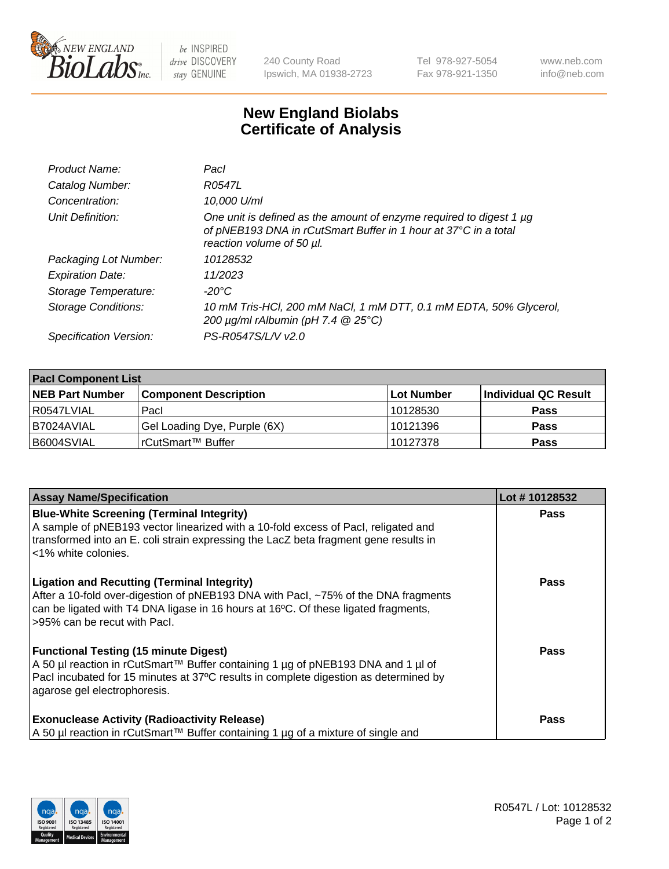

 $be$  INSPIRED drive DISCOVERY stay GENUINE

240 County Road Ipswich, MA 01938-2723 Tel 978-927-5054 Fax 978-921-1350 www.neb.com info@neb.com

## **New England Biolabs Certificate of Analysis**

| Product Name:           | Pacl                                                                                                                                                                |
|-------------------------|---------------------------------------------------------------------------------------------------------------------------------------------------------------------|
| Catalog Number:         | R0547L                                                                                                                                                              |
| Concentration:          | 10,000 U/ml                                                                                                                                                         |
| Unit Definition:        | One unit is defined as the amount of enzyme required to digest 1 µg<br>of pNEB193 DNA in rCutSmart Buffer in 1 hour at 37°C in a total<br>reaction volume of 50 µl. |
| Packaging Lot Number:   | 10128532                                                                                                                                                            |
| <b>Expiration Date:</b> | 11/2023                                                                                                                                                             |
| Storage Temperature:    | $-20^{\circ}$ C                                                                                                                                                     |
| Storage Conditions:     | 10 mM Tris-HCl, 200 mM NaCl, 1 mM DTT, 0.1 mM EDTA, 50% Glycerol,<br>200 $\mu$ g/ml rAlbumin (pH 7.4 $@$ 25°C)                                                      |
| Specification Version:  | PS-R0547S/L/V v2.0                                                                                                                                                  |

| <b>Pacl Component List</b> |                              |            |                      |  |  |
|----------------------------|------------------------------|------------|----------------------|--|--|
| <b>NEB Part Number</b>     | <b>Component Description</b> | Lot Number | Individual QC Result |  |  |
| R0547LVIAL                 | Pacl                         | 10128530   | <b>Pass</b>          |  |  |
| B7024AVIAL                 | Gel Loading Dye, Purple (6X) | 10121396   | <b>Pass</b>          |  |  |
| B6004SVIAL                 | rCutSmart™ Buffer            | 10127378   | <b>Pass</b>          |  |  |

| <b>Assay Name/Specification</b>                                                                                                                                          | Lot #10128532 |
|--------------------------------------------------------------------------------------------------------------------------------------------------------------------------|---------------|
| <b>Blue-White Screening (Terminal Integrity)</b><br>A sample of pNEB193 vector linearized with a 10-fold excess of Pacl, religated and                                   | Pass          |
| transformed into an E. coli strain expressing the LacZ beta fragment gene results in<br><1% white colonies.                                                              |               |
| <b>Ligation and Recutting (Terminal Integrity)</b><br>After a 10-fold over-digestion of pNEB193 DNA with Pacl, ~75% of the DNA fragments                                 | <b>Pass</b>   |
| can be ligated with T4 DNA ligase in 16 hours at 16 <sup>o</sup> C. Of these ligated fragments,                                                                          |               |
| >95% can be recut with Pacl.                                                                                                                                             |               |
| <b>Functional Testing (15 minute Digest)</b>                                                                                                                             | Pass          |
| A 50 µl reaction in rCutSmart™ Buffer containing 1 µg of pNEB193 DNA and 1 µl of<br>Pacl incubated for 15 minutes at 37°C results in complete digestion as determined by |               |
| agarose gel electrophoresis.                                                                                                                                             |               |
| <b>Exonuclease Activity (Radioactivity Release)</b>                                                                                                                      | Pass          |
| A 50 µl reaction in rCutSmart™ Buffer containing 1 µg of a mixture of single and                                                                                         |               |